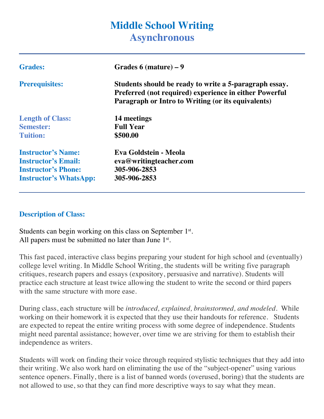# **Middle School Writing Asynchronous**

| <b>Grades:</b>                | Grades $6$ (mature) $-9$                                                                                                                                               |
|-------------------------------|------------------------------------------------------------------------------------------------------------------------------------------------------------------------|
| <b>Prerequisites:</b>         | Students should be ready to write a 5-paragraph essay.<br>Preferred (not required) experience in either Powerful<br>Paragraph or Intro to Writing (or its equivalents) |
| <b>Length of Class:</b>       | 14 meetings                                                                                                                                                            |
| <b>Semester:</b>              | <b>Full Year</b>                                                                                                                                                       |
| <b>Tuition:</b>               | \$500.00                                                                                                                                                               |
| <b>Instructor's Name:</b>     | Eva Goldstein - Meola                                                                                                                                                  |
| <b>Instructor's Email:</b>    | eva@writingteacher.com                                                                                                                                                 |
| <b>Instructor's Phone:</b>    | 305-906-2853                                                                                                                                                           |
| <b>Instructor's WhatsApp:</b> | 305-906-2853                                                                                                                                                           |

#### **Description of Class:**

Students can begin working on this class on September  $1<sup>st</sup>$ . All papers must be submitted no later than June  $1<sup>st</sup>$ .

This fast paced, interactive class begins preparing your student for high school and (eventually) college level writing. In Middle School Writing, the students will be writing five paragraph critiques, research papers and essays (expository, persuasive and narrative). Students will practice each structure at least twice allowing the student to write the second or third papers with the same structure with more ease.

During class, each structure will be *introduced, explained, brainstormed, and modeled*. While working on their homework it is expected that they use their handouts for reference. Students are expected to repeat the entire writing process with some degree of independence. Students might need parental assistance; however, over time we are striving for them to establish their independence as writers.

Students will work on finding their voice through required stylistic techniques that they add into their writing. We also work hard on eliminating the use of the "subject-opener" using various sentence openers. Finally, there is a list of banned words (overused, boring) that the students are not allowed to use, so that they can find more descriptive ways to say what they mean.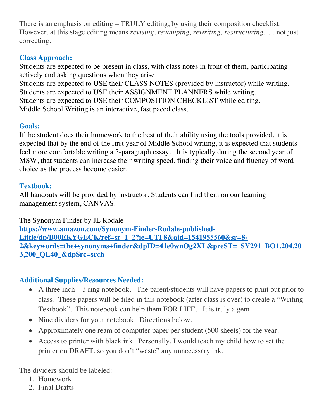There is an emphasis on editing – TRULY editing, by using their composition checklist. However, at this stage editing means *revising, revamping, rewriting, restructuring*….. not just correcting.

# **Class Approach:**

Students are expected to be present in class, with class notes in front of them, participating actively and asking questions when they arise.

Students are expected to USE their CLASS NOTES (provided by instructor) while writing. Students are expected to USE their ASSIGNMENT PLANNERS while writing. Students are expected to USE their COMPOSITION CHECKLIST while editing. Middle School Writing is an interactive, fast paced class.

## **Goals:**

If the student does their homework to the best of their ability using the tools provided, it is expected that by the end of the first year of Middle School writing, it is expected that students feel more comfortable writing a 5-paragraph essay. It is typically during the second year of MSW, that students can increase their writing speed, finding their voice and fluency of word choice as the process become easier.

## **Textbook:**

All handouts will be provided by instructor. Students can find them on our learning management system, CANVAS.

The Synonym Finder by JL Rodale **https://www.amazon.com/Synonym-Finder-Rodale-published-Little/dp/B00EKYGECK/ref=sr\_1\_2?ie=UTF8&qid=1541955560&sr=8- 2&keywords=the+synonyms+finder&dpID=41e0wnOg2XL&preST=\_SY291\_BO1,204,20 3,200\_QL40\_&dpSrc=srch**

## **Additional Supplies/Resources Needed:**

- A three inch  $-3$  ring notebook. The parent/students will have papers to print out prior to class. These papers will be filed in this notebook (after class is over) to create a "Writing Textbook". This notebook can help them FOR LIFE. It is truly a gem!
- Nine dividers for your notebook. Directions below.
- Approximately one ream of computer paper per student (500 sheets) for the year.
- Access to printer with black ink. Personally, I would teach my child how to set the printer on DRAFT, so you don't "waste" any unnecessary ink.

The dividers should be labeled:

- 1. Homework
- 2. Final Drafts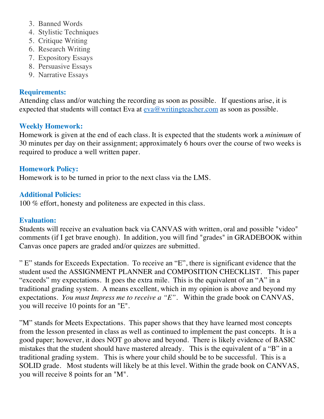- 3. Banned Words
- 4. Stylistic Techniques
- 5. Critique Writing
- 6. Research Writing
- 7. Expository Essays
- 8. Persuasive Essays
- 9. Narrative Essays

#### **Requirements:**

Attending class and/or watching the recording as soon as possible. If questions arise, it is expected that students will contact Eva at  $e$ va@writingteacher.com as soon as possible.

### **Weekly Homework:**

Homework is given at the end of each class. It is expected that the students work a *minimum* of 30 minutes per day on their assignment; approximately 6 hours over the course of two weeks is required to produce a well written paper.

#### **Homework Policy:**

Homework is to be turned in prior to the next class via the LMS.

#### **Additional Policies:**

100 % effort, honesty and politeness are expected in this class.

#### **Evaluation:**

Students will receive an evaluation back via CANVAS with written, oral and possible "video" comments (if I get brave enough). In addition, you will find "grades" in GRADEBOOK within Canvas once papers are graded and/or quizzes are submitted.

" E" stands for Exceeds Expectation. To receive an "E", there is significant evidence that the student used the ASSIGNMENT PLANNER and COMPOSITION CHECKLIST. This paper "exceeds" my expectations. It goes the extra mile. This is the equivalent of an "A" in a traditional grading system. A means excellent, which in my opinion is above and beyond my expectations. *You must Impress me to receive a "E".* Within the grade book on CANVAS, you will receive 10 points for an "E".

"M" stands for Meets Expectations. This paper shows that they have learned most concepts from the lesson presented in class as well as continued to implement the past concepts. It is a good paper; however, it does NOT go above and beyond. There is likely evidence of BASIC mistakes that the student should have mastered already. This is the equivalent of a "B" in a traditional grading system. This is where your child should be to be successful. This is a SOLID grade. Most students will likely be at this level. Within the grade book on CANVAS, you will receive 8 points for an "M".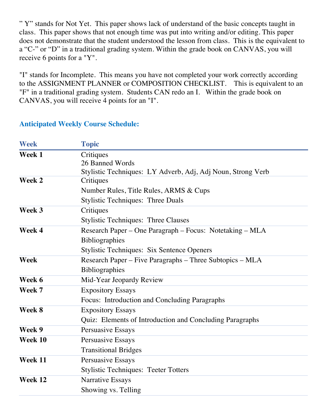" Y" stands for Not Yet. This paper shows lack of understand of the basic concepts taught in class. This paper shows that not enough time was put into writing and/or editing. This paper does not demonstrate that the student understood the lesson from class. This is the equivalent to a "C-" or "D" in a traditional grading system. Within the grade book on CANVAS, you will receive 6 points for a "Y".

"I" stands for Incomplete. This means you have not completed your work correctly according to the ASSIGNMENT PLANNER or COMPOSITION CHECKLIST. This is equivalent to an "F" in a traditional grading system. Students CAN redo an I. Within the grade book on CANVAS, you will receive 4 points for an "I".

#### **Anticipated Weekly Course Schedule:**

| <b>Week</b> | <b>Topic</b>                                                |
|-------------|-------------------------------------------------------------|
| Week 1      | Critiques                                                   |
|             | 26 Banned Words                                             |
|             | Stylistic Techniques: LY Adverb, Adj, Adj Noun, Strong Verb |
| Week 2      | Critiques                                                   |
|             | Number Rules, Title Rules, ARMS & Cups                      |
|             | <b>Stylistic Techniques: Three Duals</b>                    |
| Week 3      | Critiques                                                   |
|             | <b>Stylistic Techniques: Three Clauses</b>                  |
| Week 4      | Research Paper – One Paragraph – Focus: Notetaking – MLA    |
|             | <b>Bibliographies</b>                                       |
|             | Stylistic Techniques: Six Sentence Openers                  |
| Week        | Research Paper – Five Paragraphs – Three Subtopics – MLA    |
|             | Bibliographies                                              |
| Week 6      | Mid-Year Jeopardy Review                                    |
| Week 7      | <b>Expository Essays</b>                                    |
|             | Focus: Introduction and Concluding Paragraphs               |
| Week 8      | <b>Expository Essays</b>                                    |
|             | Quiz: Elements of Introduction and Concluding Paragraphs    |
| Week 9      | Persuasive Essays                                           |
| Week 10     | Persuasive Essays                                           |
|             | <b>Transitional Bridges</b>                                 |
| Week 11     | Persuasive Essays                                           |
|             | <b>Stylistic Techniques: Teeter Totters</b>                 |
| Week 12     | Narrative Essays                                            |
|             | Showing vs. Telling                                         |